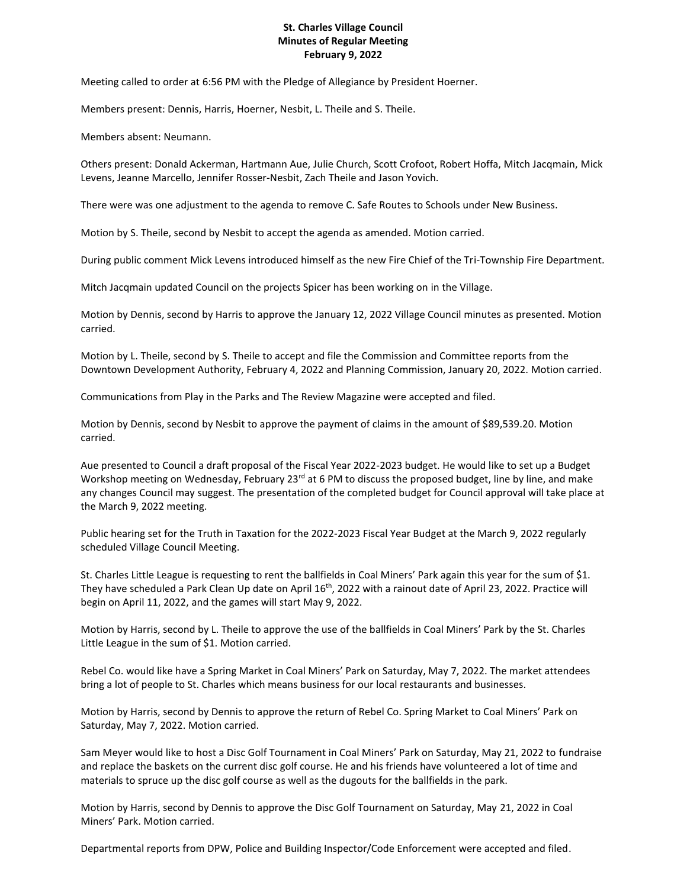## **St. Charles Village Council Minutes of Regular Meeting February 9, 2022**

Meeting called to order at 6:56 PM with the Pledge of Allegiance by President Hoerner.

Members present: Dennis, Harris, Hoerner, Nesbit, L. Theile and S. Theile.

Members absent: Neumann.

Others present: Donald Ackerman, Hartmann Aue, Julie Church, Scott Crofoot, Robert Hoffa, Mitch Jacqmain, Mick Levens, Jeanne Marcello, Jennifer Rosser-Nesbit, Zach Theile and Jason Yovich.

There were was one adjustment to the agenda to remove C. Safe Routes to Schools under New Business.

Motion by S. Theile, second by Nesbit to accept the agenda as amended. Motion carried.

During public comment Mick Levens introduced himself as the new Fire Chief of the Tri-Township Fire Department.

Mitch Jacqmain updated Council on the projects Spicer has been working on in the Village.

Motion by Dennis, second by Harris to approve the January 12, 2022 Village Council minutes as presented. Motion carried.

Motion by L. Theile, second by S. Theile to accept and file the Commission and Committee reports from the Downtown Development Authority, February 4, 2022 and Planning Commission, January 20, 2022. Motion carried.

Communications from Play in the Parks and The Review Magazine were accepted and filed.

Motion by Dennis, second by Nesbit to approve the payment of claims in the amount of \$89,539.20. Motion carried.

Aue presented to Council a draft proposal of the Fiscal Year 2022-2023 budget. He would like to set up a Budget Workshop meeting on Wednesday, February 23<sup>rd</sup> at 6 PM to discuss the proposed budget, line by line, and make any changes Council may suggest. The presentation of the completed budget for Council approval will take place at the March 9, 2022 meeting.

Public hearing set for the Truth in Taxation for the 2022-2023 Fiscal Year Budget at the March 9, 2022 regularly scheduled Village Council Meeting.

St. Charles Little League is requesting to rent the ballfields in Coal Miners' Park again this year for the sum of \$1. They have scheduled a Park Clean Up date on April 16th, 2022 with a rainout date of April 23, 2022. Practice will begin on April 11, 2022, and the games will start May 9, 2022.

Motion by Harris, second by L. Theile to approve the use of the ballfields in Coal Miners' Park by the St. Charles Little League in the sum of \$1. Motion carried.

Rebel Co. would like have a Spring Market in Coal Miners' Park on Saturday, May 7, 2022. The market attendees bring a lot of people to St. Charles which means business for our local restaurants and businesses.

Motion by Harris, second by Dennis to approve the return of Rebel Co. Spring Market to Coal Miners' Park on Saturday, May 7, 2022. Motion carried.

Sam Meyer would like to host a Disc Golf Tournament in Coal Miners' Park on Saturday, May 21, 2022 to fundraise and replace the baskets on the current disc golf course. He and his friends have volunteered a lot of time and materials to spruce up the disc golf course as well as the dugouts for the ballfields in the park.

Motion by Harris, second by Dennis to approve the Disc Golf Tournament on Saturday, May 21, 2022 in Coal Miners' Park. Motion carried.

Departmental reports from DPW, Police and Building Inspector/Code Enforcement were accepted and filed.